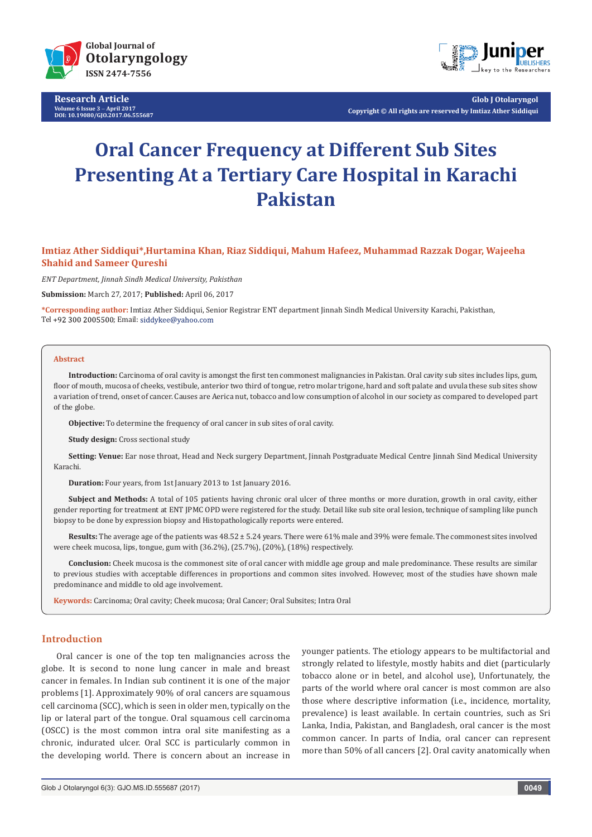

**Research Article Volume 6 Issue 3** - **April 2017 DOI: [10.19080/GJO.2017.06.555687](http://dx.doi.org/10.19080/GJO.2017.06.555687)**



**Glob J Otolaryngol Copyright © All rights are reserved by Imtiaz Ather Siddiqui**

# **Oral Cancer Frequency at Different Sub Sites Presenting At a Tertiary Care Hospital in Karachi Pakistan**

# **Imtiaz Ather Siddiqui\*,Hurtamina Khan, Riaz Siddiqui, Mahum Hafeez, Muhammad Razzak Dogar, Wajeeha Shahid and Sameer Qureshi**

*ENT Department, Jinnah Sindh Medical University, Pakisthan*

**Submission:** March 27, 2017; **Published:** April 06, 2017

**\*Corresponding author:** Imtiaz Ather Siddiqui, Senior Registrar ENT department Jinnah Sindh Medical University Karachi, Pakisthan, Tel +92 300 2005500; Email: siddykee@yahoo.com

#### **Abstract**

**Introduction:** Carcinoma of oral cavity is amongst the first ten commonest malignancies in Pakistan. Oral cavity sub sites includes lips, gum, floor of mouth, mucosa of cheeks, vestibule, anterior two third of tongue, retro molar trigone, hard and soft palate and uvula these sub sites show a variation of trend, onset of cancer. Causes are Aerica nut, tobacco and low consumption of alcohol in our society as compared to developed part of the globe.

**Objective:** To determine the frequency of oral cancer in sub sites of oral cavity.

**Study design:** Cross sectional study

**Setting: Venue:** Ear nose throat, Head and Neck surgery Department, Jinnah Postgraduate Medical Centre Jinnah Sind Medical University Karachi.

**Duration:** Four years, from 1st January 2013 to 1st January 2016.

**Subject and Methods:** A total of 105 patients having chronic oral ulcer of three months or more duration, growth in oral cavity, either gender reporting for treatment at ENT JPMC OPD were registered for the study. Detail like sub site oral lesion, technique of sampling like punch biopsy to be done by expression biopsy and Histopathologically reports were entered.

**Results:** The average age of the patients was 48.52 ± 5.24 years. There were 61% male and 39% were female. The commonest sites involved were cheek mucosa, lips, tongue, gum with (36.2%), (25.7%), (20%), (18%) respectively.

**Conclusion:** Cheek mucosa is the commonest site of oral cancer with middle age group and male predominance. These results are similar to previous studies with acceptable differences in proportions and common sites involved. However, most of the studies have shown male predominance and middle to old age involvement.

**Keywords:** Carcinoma; Oral cavity; Cheek mucosa; Oral Cancer; Oral Subsites; Intra Oral

## **Introduction**

Oral cancer is one of the top ten malignancies across the globe. It is second to none lung cancer in male and breast cancer in females. In Indian sub continent it is one of the major problems [1]. Approximately 90% of oral cancers are squamous cell carcinoma (SCC), which is seen in older men, typically on the lip or lateral part of the tongue. Oral squamous cell carcinoma (OSCC) is the most common intra oral site manifesting as a chronic, indurated ulcer. Oral SCC is particularly common in the developing world. There is concern about an increase in

younger patients. The etiology appears to be multifactorial and strongly related to lifestyle, mostly habits and diet (particularly tobacco alone or in betel, and alcohol use), Unfortunately, the parts of the world where oral cancer is most common are also those where descriptive information (i.e., incidence, mortality, prevalence) is least available. In certain countries, such as Sri Lanka, India, Pakistan, and Bangladesh, oral cancer is the most common cancer. In parts of India, oral cancer can represent more than 50% of all cancers [2]. Oral cavity anatomically when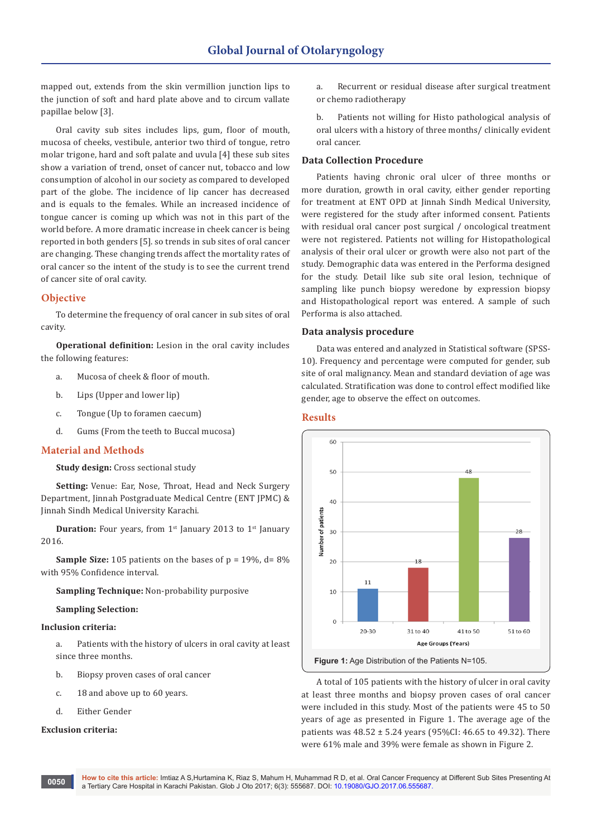mapped out, extends from the skin vermillion junction lips to the junction of soft and hard plate above and to circum vallate papillae below [3].

Oral cavity sub sites includes lips, gum, floor of mouth, mucosa of cheeks, vestibule, anterior two third of tongue, retro molar trigone, hard and soft palate and uvula [4] these sub sites show a variation of trend, onset of cancer nut, tobacco and low consumption of alcohol in our society as compared to developed part of the globe. The incidence of lip cancer has decreased and is equals to the females. While an increased incidence of tongue cancer is coming up which was not in this part of the world before. A more dramatic increase in cheek cancer is being reported in both genders [5]. so trends in sub sites of oral cancer are changing. These changing trends affect the mortality rates of oral cancer so the intent of the study is to see the current trend of cancer site of oral cavity.

# **Objective**

To determine the frequency of oral cancer in sub sites of oral cavity.

**Operational definition:** Lesion in the oral cavity includes the following features:

- a. Mucosa of cheek & floor of mouth.
- b. Lips (Upper and lower lip)
- c. Tongue (Up to foramen caecum)
- d. Gums (From the teeth to Buccal mucosa)

# **Material and Methods**

**Study design:** Cross sectional study

**Setting:** Venue: Ear, Nose, Throat, Head and Neck Surgery Department, Jinnah Postgraduate Medical Centre (ENT JPMC) & Jinnah Sindh Medical University Karachi.

**Duration:** Four years, from 1<sup>st</sup> January 2013 to 1<sup>st</sup> January 2016.

**Sample Size:** 105 patients on the bases of  $p = 19\%$ ,  $d = 8\%$ with 95% Confidence interval.

**Sampling Technique:** Non-probability purposive

**Sampling Selection:**

## **Inclusion criteria:**

a. Patients with the history of ulcers in oral cavity at least since three months.

- b. Biopsy proven cases of oral cancer
- c. 18 and above up to 60 years.
- d. Either Gender

#### **Exclusion criteria:**

a. Recurrent or residual disease after surgical treatment or chemo radiotherapy

b. Patients not willing for Histo pathological analysis of oral ulcers with a history of three months/ clinically evident oral cancer.

## **Data Collection Procedure**

Patients having chronic oral ulcer of three months or more duration, growth in oral cavity, either gender reporting for treatment at ENT OPD at Jinnah Sindh Medical University, were registered for the study after informed consent. Patients with residual oral cancer post surgical / oncological treatment were not registered. Patients not willing for Histopathological analysis of their oral ulcer or growth were also not part of the study. Demographic data was entered in the Performa designed for the study. Detail like sub site oral lesion, technique of sampling like punch biopsy weredone by expression biopsy and Histopathological report was entered. A sample of such Performa is also attached.

# **Data analysis procedure**

Data was entered and analyzed in Statistical software (SPSS-10). Frequency and percentage were computed for gender, sub site of oral malignancy. Mean and standard deviation of age was calculated. Stratification was done to control effect modified like gender, age to observe the effect on outcomes.

#### **Results**



A total of 105 patients with the history of ulcer in oral cavity at least three months and biopsy proven cases of oral cancer were included in this study. Most of the patients were 45 to 50 years of age as presented in Figure 1. The average age of the patients was  $48.52 \pm 5.24$  years (95%CI: 46.65 to 49.32). There were 61% male and 39% were female as shown in Figure 2.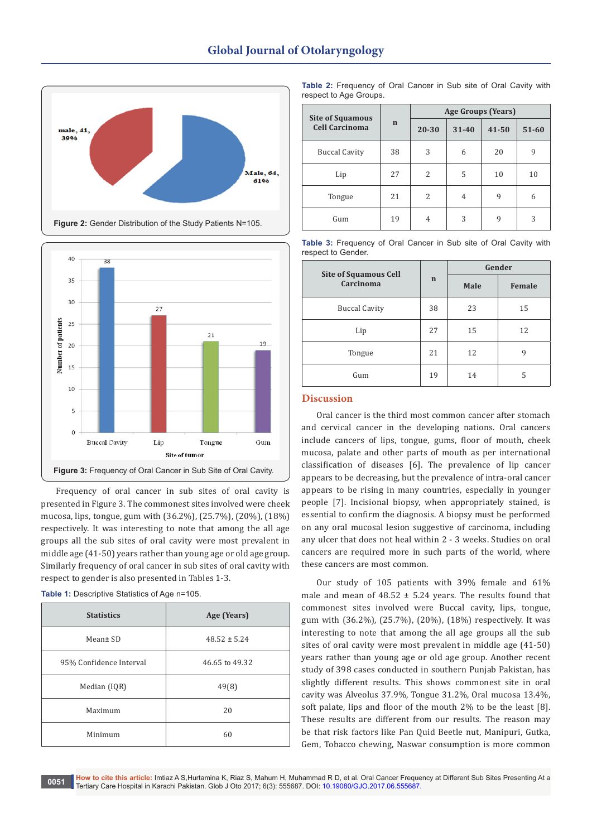



Frequency of oral cancer in sub sites of oral cavity is presented in Figure 3. The commonest sites involved were cheek mucosa, lips, tongue, gum with (36.2%), (25.7%), (20%), (18%) respectively. It was interesting to note that among the all age groups all the sub sites of oral cavity were most prevalent in middle age (41-50) years rather than young age or old age group. Similarly frequency of oral cancer in sub sites of oral cavity with respect to gender is also presented in Tables 1-3.

**Table 1:** Descriptive Statistics of Age n=105.

| <b>Statistics</b>       | Age (Years)      |  |  |
|-------------------------|------------------|--|--|
| Mean± SD                | $48.52 \pm 5.24$ |  |  |
| 95% Confidence Interval | 46.65 to 49.32   |  |  |
| Median (IQR)            | 49(8)            |  |  |
| Maximum                 | 20               |  |  |
| Minimum                 | 60               |  |  |

**Table 2:** Frequency of Oral Cancer in Sub site of Oral Cavity with respect to Age Groups.

| <b>Site of Squamous</b> |             | Age Groups (Years) |           |           |           |
|-------------------------|-------------|--------------------|-----------|-----------|-----------|
| <b>Cell Carcinoma</b>   | $\mathbf n$ | 20-30              | $31 - 40$ | $41 - 50$ | $51 - 60$ |
| <b>Buccal Cavity</b>    | 38          | 3                  | 6         | 20        | 9         |
| Lip                     | 27          | $\overline{c}$     | 5         | 10        | 10        |
| Tongue                  | 21          | 2                  | 4         | 9         | 6         |
| Gum                     | 19          | 4                  | 3         | 9         | 3         |

**Table 3:** Frequency of Oral Cancer in Sub site of Oral Cavity with respect to Gender.

| <b>Site of Squamous Cell</b><br>Carcinoma | $\mathbf n$ | Gender |        |  |
|-------------------------------------------|-------------|--------|--------|--|
|                                           |             | Male   | Female |  |
| <b>Buccal Cavity</b>                      | 38          | 23     | 15     |  |
| Lip                                       | 27          | 15     | 12     |  |
| Tongue                                    | 21          | 12     | 9      |  |
| Gum                                       | 19          | 14     | 5      |  |

# **Discussion**

Oral cancer is the third most common cancer after stomach and cervical cancer in the developing nations. Oral cancers include cancers of lips, tongue, gums, floor of mouth, cheek mucosa, palate and other parts of mouth as per international classification of diseases [6]. The prevalence of lip cancer appears to be decreasing, but the prevalence of intra-oral cancer appears to be rising in many countries, especially in younger people [7]. Incisional biopsy, when appropriately stained, is essential to confirm the diagnosis. A biopsy must be performed on any oral mucosal lesion suggestive of carcinoma, including any ulcer that does not heal within 2 - 3 weeks. Studies on oral cancers are required more in such parts of the world, where these cancers are most common.

Our study of 105 patients with 39% female and 61% male and mean of  $48.52 \pm 5.24$  years. The results found that commonest sites involved were Buccal cavity, lips, tongue, gum with (36.2%), (25.7%), (20%), (18%) respectively. It was interesting to note that among the all age groups all the sub sites of oral cavity were most prevalent in middle age (41-50) years rather than young age or old age group. Another recent study of 398 cases conducted in southern Punjab Pakistan, has slightly different results. This shows commonest site in oral cavity was Alveolus 37.9%, Tongue 31.2%, Oral mucosa 13.4%, soft palate, lips and floor of the mouth 2% to be the least [8]. These results are different from our results. The reason may be that risk factors like Pan Quid Beetle nut, Manipuri, Gutka, Gem, Tobacco chewing, Naswar consumption is more common

**How to cite this article:** Imtiaz A S,Hurtamina K, Riaz S, Mahum H, Muhammad R D, et al. Oral Cancer Frequency at Different Sub Sites Presenting At a Tertiary Care Hospital in Karachi Pakistan. Glob J Oto 2017; 6(3): 555687. DOI: [10.19080/GJO.2017.06.555687](http://dx.doi.org/10.19080/GJO.2017.06.555687). **<sup>0051</sup>**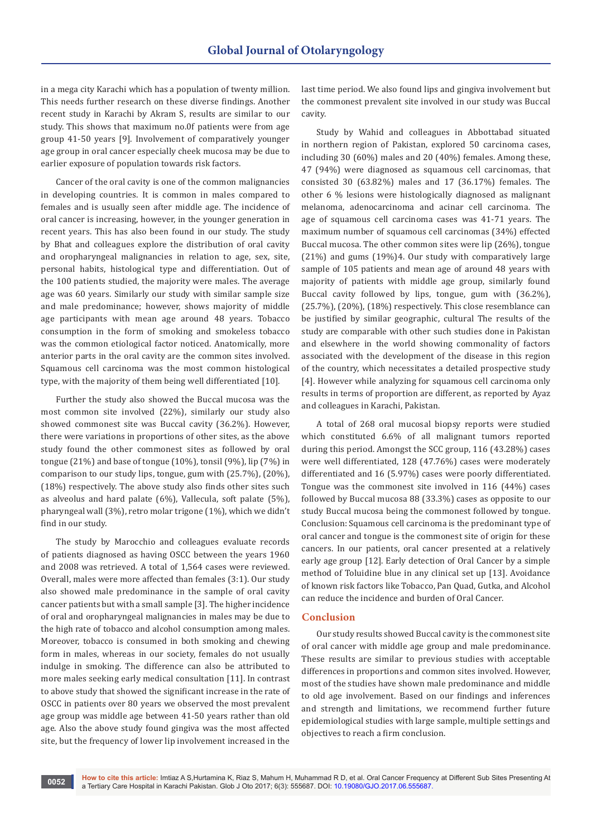in a mega city Karachi which has a population of twenty million. This needs further research on these diverse findings. Another recent study in Karachi by Akram S, results are similar to our study. This shows that maximum no.0f patients were from age group 41-50 years [9]. Involvement of comparatively younger age group in oral cancer especially cheek mucosa may be due to earlier exposure of population towards risk factors.

Cancer of the oral cavity is one of the common malignancies in developing countries. It is common in males compared to females and is usually seen after middle age. The incidence of oral cancer is increasing, however, in the younger generation in recent years. This has also been found in our study. The study by Bhat and colleagues explore the distribution of oral cavity and oropharyngeal malignancies in relation to age, sex, site, personal habits, histological type and differentiation. Out of the 100 patients studied, the majority were males. The average age was 60 years. Similarly our study with similar sample size and male predominance; however, shows majority of middle age participants with mean age around 48 years. Tobacco consumption in the form of smoking and smokeless tobacco was the common etiological factor noticed. Anatomically, more anterior parts in the oral cavity are the common sites involved. Squamous cell carcinoma was the most common histological type, with the majority of them being well differentiated [10].

Further the study also showed the Buccal mucosa was the most common site involved (22%), similarly our study also showed commonest site was Buccal cavity (36.2%). However, there were variations in proportions of other sites, as the above study found the other commonest sites as followed by oral tongue (21%) and base of tongue (10%), tonsil (9%), lip (7%) in comparison to our study lips, tongue, gum with (25.7%), (20%), (18%) respectively. The above study also finds other sites such as alveolus and hard palate (6%), Vallecula, soft palate (5%), pharyngeal wall (3%), retro molar trigone (1%), which we didn't find in our study.

The study by Marocchio and colleagues evaluate records of patients diagnosed as having OSCC between the years 1960 and 2008 was retrieved. A total of 1,564 cases were reviewed. Overall, males were more affected than females (3:1). Our study also showed male predominance in the sample of oral cavity cancer patients but with a small sample [3]. The higher incidence of oral and oropharyngeal malignancies in males may be due to the high rate of tobacco and alcohol consumption among males. Moreover, tobacco is consumed in both smoking and chewing form in males, whereas in our society, females do not usually indulge in smoking. The difference can also be attributed to more males seeking early medical consultation [11]. In contrast to above study that showed the significant increase in the rate of OSCC in patients over 80 years we observed the most prevalent age group was middle age between 41-50 years rather than old age. Also the above study found gingiva was the most affected site, but the frequency of lower lip involvement increased in the

last time period. We also found lips and gingiva involvement but the commonest prevalent site involved in our study was Buccal cavity.

Study by Wahid and colleagues in Abbottabad situated in northern region of Pakistan, explored 50 carcinoma cases, including 30 (60%) males and 20 (40%) females. Among these, 47 (94%) were diagnosed as squamous cell carcinomas, that consisted 30 (63.82%) males and 17 (36.17%) females. The other 6 % lesions were histologically diagnosed as malignant melanoma, adenocarcinoma and acinar cell carcinoma. The age of squamous cell carcinoma cases was 41-71 years. The maximum number of squamous cell carcinomas (34%) effected Buccal mucosa. The other common sites were lip (26%), tongue (21%) and gums (19%)4. Our study with comparatively large sample of 105 patients and mean age of around 48 years with majority of patients with middle age group, similarly found Buccal cavity followed by lips, tongue, gum with (36.2%), (25.7%), (20%), (18%) respectively. This close resemblance can be justified by similar geographic, cultural The results of the study are comparable with other such studies done in Pakistan and elsewhere in the world showing commonality of factors associated with the development of the disease in this region of the country, which necessitates a detailed prospective study [4]. However while analyzing for squamous cell carcinoma only results in terms of proportion are different, as reported by Ayaz and colleagues in Karachi, Pakistan.

A total of 268 oral mucosal biopsy reports were studied which constituted 6.6% of all malignant tumors reported during this period. Amongst the SCC group, 116 (43.28%) cases were well differentiated, 128 (47.76%) cases were moderately differentiated and 16 (5.97%) cases were poorly differentiated. Tongue was the commonest site involved in 116 (44%) cases followed by Buccal mucosa 88 (33.3%) cases as opposite to our study Buccal mucosa being the commonest followed by tongue. Conclusion: Squamous cell carcinoma is the predominant type of oral cancer and tongue is the commonest site of origin for these cancers. In our patients, oral cancer presented at a relatively early age group [12]. Early detection of Oral Cancer by a simple method of Toluidine blue in any clinical set up [13]. Avoidance of known risk factors like Tobacco, Pan Quad, Gutka, and Alcohol can reduce the incidence and burden of Oral Cancer.

## **Conclusion**

Our study results showed Buccal cavity is the commonest site of oral cancer with middle age group and male predominance. These results are similar to previous studies with acceptable differences in proportions and common sites involved. However, most of the studies have shown male predominance and middle to old age involvement. Based on our findings and inferences and strength and limitations, we recommend further future epidemiological studies with large sample, multiple settings and objectives to reach a firm conclusion.